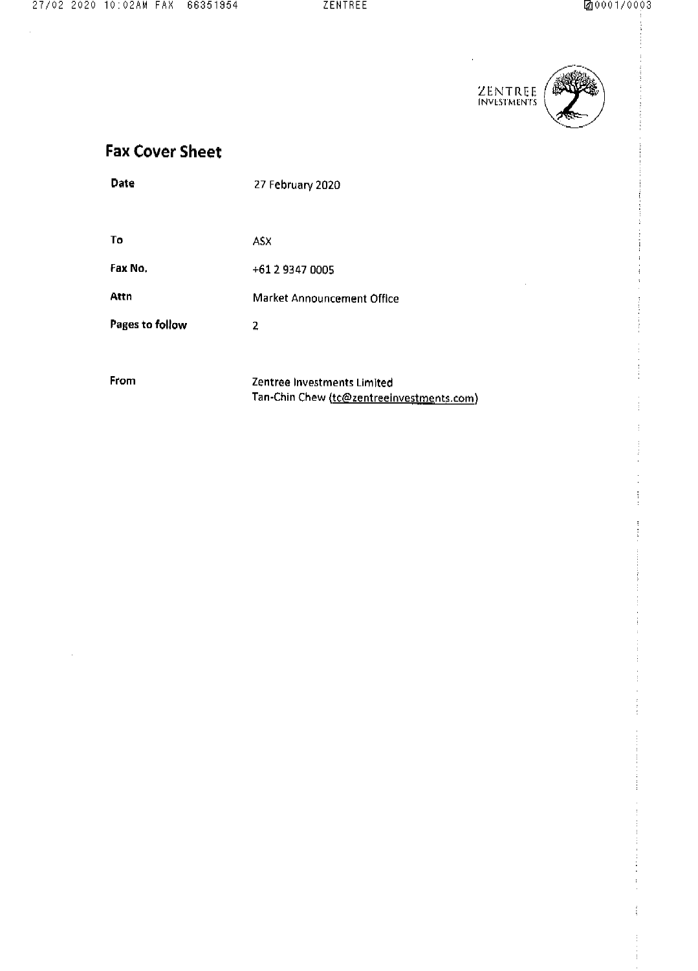

 $\hat{\mathbf{r}}$ 



# **Fax Cover Sheet**

| Date            | 27 February 2020                                                         |
|-----------------|--------------------------------------------------------------------------|
|                 |                                                                          |
| To.             | <b>ASX</b>                                                               |
| Fax No.         | +61 2 9347 0005                                                          |
| Attn            | Market Announcement Office                                               |
| Pages to follow | 2                                                                        |
|                 |                                                                          |
| <b>From</b>     | Zentree Investments Limited<br>Tan-Chin Chew (tc@zentreeinvestments.com) |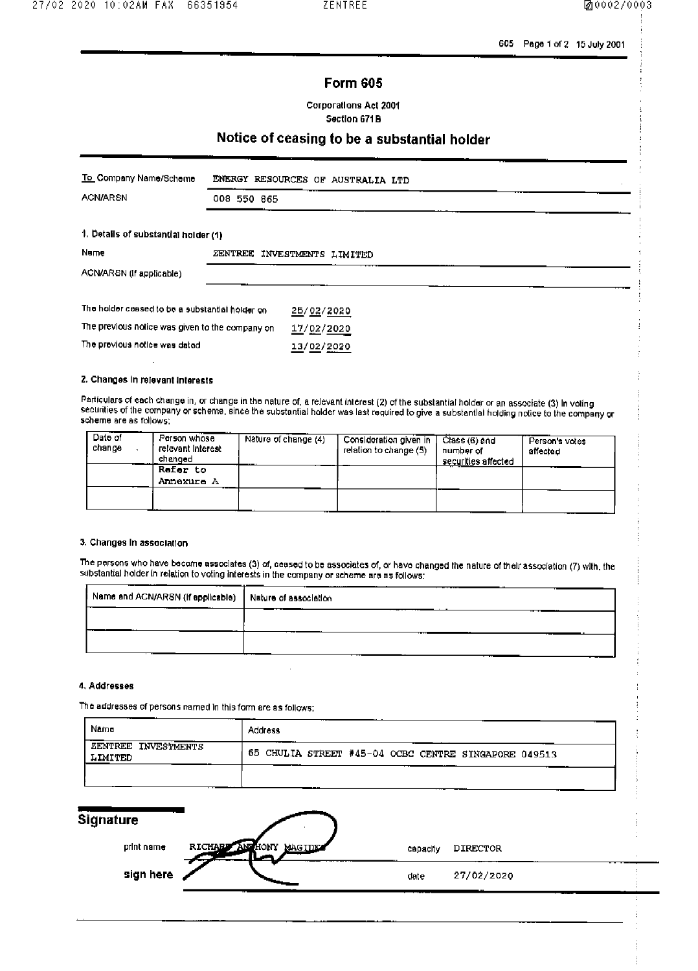605 Page 1 of 2 15 July 2001

### **Form 605**

**Corporations Act 2001** Section 671B

## Notice of ceasing to be a substantial holder

| To Company Name/Scheme                          |             | ENERGY RESOURCES OF AUSTRALIA LTD |  |
|-------------------------------------------------|-------------|-----------------------------------|--|
| <b>ACN/ARSN</b>                                 | 008 550 865 |                                   |  |
| 1. Details of substantial holder (1)            |             |                                   |  |
| Name                                            |             | ZENTREE INVESTMENTS LIMITED       |  |
| ACN/ARSN (If applicable)                        |             |                                   |  |
| The holder ceased to be a substantial holder on |             | 25/02/2020                        |  |
| The previous notice was given to the company on |             | 17/02/2020                        |  |
| The previous notice was dated                   |             | 13/02/2020                        |  |

2. Changes in relevant interests

Particulars of each change in, or change in the nature of, a relevant interest (2) of the substantial holder or an associate (3) in voting securities of the company or scheme, since the substantial holder was last required to give a substantial holding notice to the company or scheme are as follows:

| $Date$ of<br>change | Person whose<br>relevant interest<br>changed | Nature of change (4) | Consideration given in<br>relation to change (5) | Class (6) and<br>number of<br>securities affected | - Person's votes<br>affected |
|---------------------|----------------------------------------------|----------------------|--------------------------------------------------|---------------------------------------------------|------------------------------|
|                     | Rafer to<br>Annexure A                       |                      |                                                  |                                                   |                              |
|                     |                                              |                      |                                                  |                                                   |                              |

### 3. Changes in association

The persons who have become associates (3) of, ceased to be associates of, or have changed the nature of their association (7) with, the substantial holder in relation to voting interests in the company or scheme are as follows:

| Name and ACN/ARSN (if applicable) Nature of association | ------ |
|---------------------------------------------------------|--------|
|                                                         |        |
|                                                         |        |
|                                                         |        |

#### 4. Addresses

The addresses of persons named in this form are as follows:

| Namo                           | <b>Address</b>                                       |  |  |  |
|--------------------------------|------------------------------------------------------|--|--|--|
| ZENTREE INVESTMENTS<br>LIMITED | 65 CHULIA STREET #45-04 OCBC CENTRE SINGAPORE 049513 |  |  |  |
|                                |                                                      |  |  |  |

| <b>Signature</b> |                                    |          |            |  |
|------------------|------------------------------------|----------|------------|--|
| print name       | RICHARD AND HONY<br><b>MAGIDES</b> | capacity | DIRECTOR   |  |
| sign here        |                                    | date     | 27/02/2020 |  |
|                  |                                    |          |            |  |